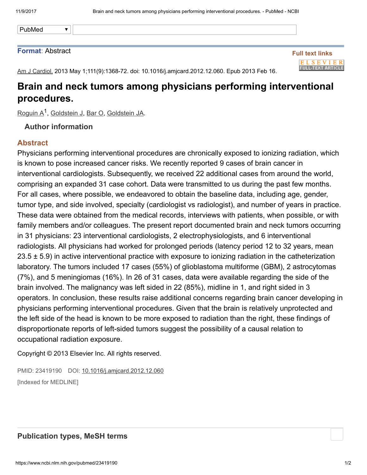PubMed

#### Format: Abstract

Full text links **ELSEVIER FULL-TEXT ARTICLE** 

Am J Cardiol. 2013 May 1;111(9):1368-72. doi: 10.1016/j.amjcard.2012.12.060. Epub 2013 Feb 16.

# Brain and neck tumors among physicians performing interventional procedures.

[Roguin](https://www.ncbi.nlm.nih.gov/pubmed/?term=Roguin%20A%5BAuthor%5D&cauthor=true&cauthor_uid=23419190) A<sup>1</sup>, [Goldstein](https://www.ncbi.nlm.nih.gov/pubmed/?term=Goldstein%20JA%5BAuthor%5D&cauthor=true&cauthor_uid=23419190) J, [Bar](https://www.ncbi.nlm.nih.gov/pubmed/?term=Bar%20O%5BAuthor%5D&cauthor=true&cauthor_uid=23419190) O, Goldstein JA.

## Author information

 $\blacktriangledown$ 

#### Abstract

Physicians performing interventional procedures are chronically exposed to ionizing radiation, which is known to pose increased cancer risks. We recently reported 9 cases of brain cancer in interventional cardiologists. Subsequently, we received 22 additional cases from around the world, comprising an expanded 31 case cohort. Data were transmitted to us during the past few months. For all cases, where possible, we endeavored to obtain the baseline data, including age, gender, tumor type, and side involved, specialty (cardiologist vs radiologist), and number of years in practice. These data were obtained from the medical records, interviews with patients, when possible, or with family members and/or colleagues. The present report documented brain and neck tumors occurring in 31 physicians: 23 interventional cardiologists, 2 electrophysiologists, and 6 interventional radiologists. All physicians had worked for prolonged periods (latency period 12 to 32 years, mean  $23.5 \pm 5.9$ ) in active interventional practice with exposure to ionizing radiation in the catheterization laboratory. The tumors included 17 cases (55%) of glioblastoma multiforme (GBM), 2 astrocytomas (7%), and 5 meningiomas (16%). In 26 of 31 cases, data were available regarding the side of the brain involved. The malignancy was left sided in 22 (85%), midline in 1, and right sided in 3 operators. In conclusion, these results raise additional concerns regarding brain cancer developing in physicians performing interventional procedures. Given that the brain is relatively unprotected and the left side of the head is known to be more exposed to radiation than the right, these findings of disproportionate reports of left-sided tumors suggest the possibility of a causal relation to occupational radiation exposure.

Copyright © 2013 Elsevier Inc. All rights reserved.

PMID: 23419190 DOI: [10.1016/j.amjcard.2012.12.060](https://doi.org/10.1016/j.amjcard.2012.12.060) [Indexed for MEDLINE]

## Publication types, MeSH terms